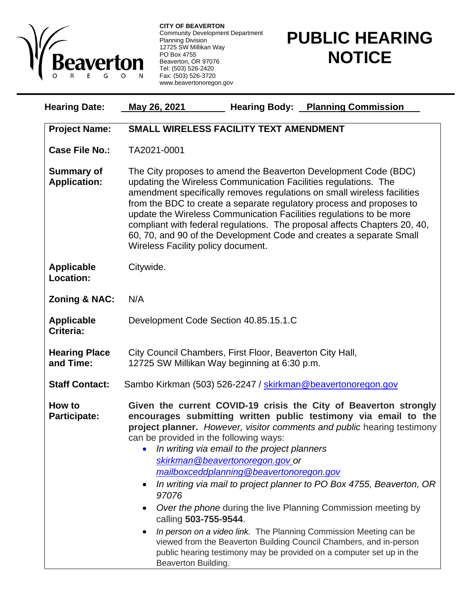

**CITY OF BEAVERTON** Community Development Department Planning Division 12725 SW Millikan Way PO Box 4755 Beaverton, OR 97076 Tel: (503) 526-2420 Fax: (503) 526-3720 www.beavertonoregon.gov

## **PUBLIC HEARING NOTICE**

| <b>Hearing Date:</b>                     | <b>Hearing Body: Planning Commission</b><br>May 26, 2021                                                                                                                                                                                                                                                                                                                                                                                                                                                                                                                                                                                                                                                                                                                                                    |
|------------------------------------------|-------------------------------------------------------------------------------------------------------------------------------------------------------------------------------------------------------------------------------------------------------------------------------------------------------------------------------------------------------------------------------------------------------------------------------------------------------------------------------------------------------------------------------------------------------------------------------------------------------------------------------------------------------------------------------------------------------------------------------------------------------------------------------------------------------------|
| <b>Project Name:</b>                     | SMALL WIRELESS FACILITY TEXT AMENDMENT                                                                                                                                                                                                                                                                                                                                                                                                                                                                                                                                                                                                                                                                                                                                                                      |
| <b>Case File No.:</b>                    | TA2021-0001                                                                                                                                                                                                                                                                                                                                                                                                                                                                                                                                                                                                                                                                                                                                                                                                 |
| <b>Summary of</b><br><b>Application:</b> | The City proposes to amend the Beaverton Development Code (BDC)<br>updating the Wireless Communication Facilities regulations. The<br>amendment specifically removes regulations on small wireless facilities<br>from the BDC to create a separate regulatory process and proposes to<br>update the Wireless Communication Facilities regulations to be more<br>compliant with federal regulations. The proposal affects Chapters 20, 40,<br>60, 70, and 90 of the Development Code and creates a separate Small<br>Wireless Facility policy document.                                                                                                                                                                                                                                                      |
| <b>Applicable</b><br>Location:           | Citywide.                                                                                                                                                                                                                                                                                                                                                                                                                                                                                                                                                                                                                                                                                                                                                                                                   |
| <b>Zoning &amp; NAC:</b>                 | N/A                                                                                                                                                                                                                                                                                                                                                                                                                                                                                                                                                                                                                                                                                                                                                                                                         |
| <b>Applicable</b><br>Criteria:           | Development Code Section 40.85.15.1.C                                                                                                                                                                                                                                                                                                                                                                                                                                                                                                                                                                                                                                                                                                                                                                       |
| <b>Hearing Place</b><br>and Time:        | City Council Chambers, First Floor, Beaverton City Hall,<br>12725 SW Millikan Way beginning at 6:30 p.m.                                                                                                                                                                                                                                                                                                                                                                                                                                                                                                                                                                                                                                                                                                    |
| <b>Staff Contact:</b>                    | Sambo Kirkman (503) 526-2247 / skirkman@beavertonoregon.gov                                                                                                                                                                                                                                                                                                                                                                                                                                                                                                                                                                                                                                                                                                                                                 |
| How to<br><b>Participate:</b>            | Given the current COVID-19 crisis the City of Beaverton strongly<br>encourages submitting written public testimony via email to the<br>project planner. However, visitor comments and public hearing testimony<br>can be provided in the following ways:<br>In writing via email to the project planners<br>skirkman@beavertonoregon.gov_or<br>mailboxceddplanning@beavertonoregon.gov<br>In writing via mail to project planner to PO Box 4755, Beaverton, OR<br>97076<br>Over the phone during the live Planning Commission meeting by<br>calling 503-755-9544.<br>In person on a video link. The Planning Commission Meeting can be<br>viewed from the Beaverton Building Council Chambers, and in-person<br>public hearing testimony may be provided on a computer set up in the<br>Beaverton Building. |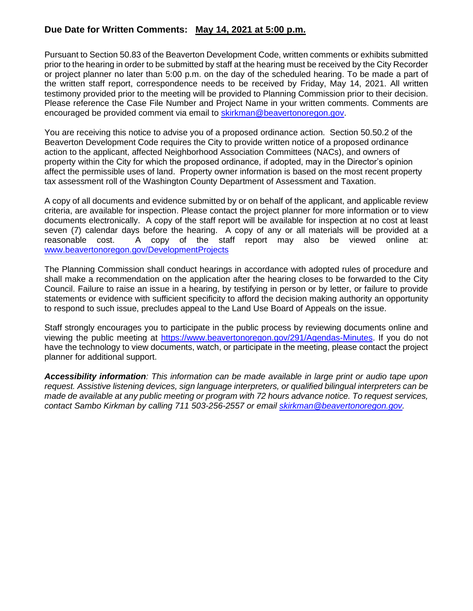## **Due Date for Written Comments: May 14, 2021 at 5:00 p.m.**

Pursuant to Section 50.83 of the Beaverton Development Code, written comments or exhibits submitted prior to the hearing in order to be submitted by staff at the hearing must be received by the City Recorder or project planner no later than 5:00 p.m. on the day of the scheduled hearing. To be made a part of the written staff report, correspondence needs to be received by Friday, May 14, 2021. All written testimony provided prior to the meeting will be provided to Planning Commission prior to their decision. Please reference the Case File Number and Project Name in your written comments. Comments are encouraged be provided comment via email to [skirkman@beavertonoregon.gov.](mailto:skirkman@beavertonoregon.gov)

You are receiving this notice to advise you of a proposed ordinance action. Section 50.50.2 of the Beaverton Development Code requires the City to provide written notice of a proposed ordinance action to the applicant, affected Neighborhood Association Committees (NACs), and owners of property within the City for which the proposed ordinance, if adopted, may in the Director's opinion affect the permissible uses of land. Property owner information is based on the most recent property tax assessment roll of the Washington County Department of Assessment and Taxation.

A copy of all documents and evidence submitted by or on behalf of the applicant, and applicable review criteria, are available for inspection. Please contact the project planner for more information or to view documents electronically. A copy of the staff report will be available for inspection at no cost at least seven (7) calendar days before the hearing. A copy of any or all materials will be provided at a reasonable cost. A copy of the staff report may also be viewed online at: [www.beavertonoregon.gov/DevelopmentProjects](http://www.beavertonoregon.gov/DevelopmentProjects)

The Planning Commission shall conduct hearings in accordance with adopted rules of procedure and shall make a recommendation on the application after the hearing closes to be forwarded to the City Council. Failure to raise an issue in a hearing, by testifying in person or by letter, or failure to provide statements or evidence with sufficient specificity to afford the decision making authority an opportunity to respond to such issue, precludes appeal to the Land Use Board of Appeals on the issue.

Staff strongly encourages you to participate in the public process by reviewing documents online and viewing the public meeting at [https://www.beavertonoregon.gov/291/Agendas-Minutes.](https://www.beavertonoregon.gov/291/Agendas-Minutes) If you do not have the technology to view documents, watch, or participate in the meeting, please contact the project planner for additional support.

*Accessibility information: This information can be made available in large print or audio tape upon request. Assistive listening devices, sign language interpreters, or qualified bilingual interpreters can be made de available at any public meeting or program with 72 hours advance notice. To request services, contact Sambo Kirkman by calling 711 503-256-2557 or email [skirkman@beavertonoregon.gov.](mailto:skirkman@beavertonoregon.gov)*